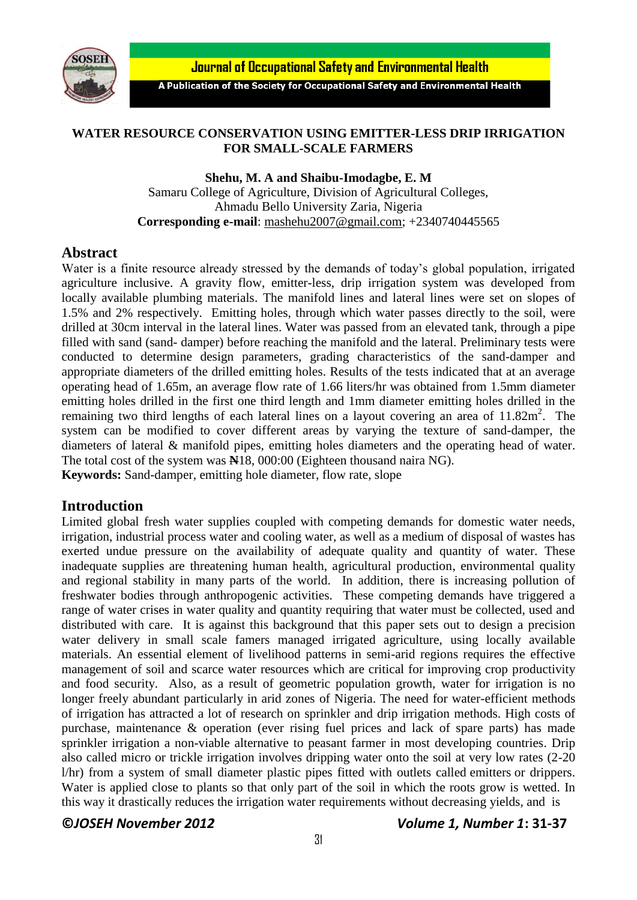

**Journal of Occupational Safety and Environmental Health** 

A Publication of the Society for Occupational Safety and Environmental Health

### **WATER RESOURCE CONSERVATION USING EMITTER-LESS DRIP IRRIGATION FOR SMALL-SCALE FARMERS**

#### **Shehu, M. A and Shaibu-Imodagbe, E. M**

Samaru College of Agriculture, Division of Agricultural Colleges, Ahmadu Bello University Zaria, Nigeria **Corresponding e-mail**: [mashehu2007@gmail.com;](mailto:mashehu2007@gmail.com) +2340740445565

# **Abstract**

Water is a finite resource already stressed by the demands of today's global population, irrigated agriculture inclusive. A gravity flow, emitter-less, drip irrigation system was developed from locally available plumbing materials. The manifold lines and lateral lines were set on slopes of 1.5% and 2% respectively. Emitting holes, through which water passes directly to the soil, were drilled at 30cm interval in the lateral lines. Water was passed from an elevated tank, through a pipe filled with sand (sand- damper) before reaching the manifold and the lateral. Preliminary tests were conducted to determine design parameters, grading characteristics of the sand-damper and appropriate diameters of the drilled emitting holes. Results of the tests indicated that at an average operating head of 1.65m, an average flow rate of 1.66 liters/hr was obtained from 1.5mm diameter emitting holes drilled in the first one third length and 1mm diameter emitting holes drilled in the remaining two third lengths of each lateral lines on a layout covering an area of  $11.82m^2$ . The system can be modified to cover different areas by varying the texture of sand-damper, the diameters of lateral & manifold pipes, emitting holes diameters and the operating head of water. The total cost of the system was **N**18, 000:00 (Eighteen thousand naira NG). **Keywords:** Sand-damper, emitting hole diameter, flow rate, slope

# **Introduction**

Limited global fresh water supplies coupled with competing demands for domestic water needs, irrigation, industrial process water and cooling water, as well as a medium of disposal of wastes has exerted undue pressure on the availability of adequate quality and quantity of water. These inadequate supplies are threatening human health, agricultural production, environmental quality and regional stability in many parts of the world. In addition, there is increasing pollution of freshwater bodies through anthropogenic activities. These competing demands have triggered a range of water crises in water quality and quantity requiring that water must be collected, used and distributed with care. It is against this background that this paper sets out to design a precision water delivery in small scale famers managed irrigated agriculture, using locally available materials. An essential element of livelihood patterns in semi-arid regions requires the effective management of soil and scarce water resources which are critical for improving crop productivity and food security. Also, as a result of geometric population growth, water for irrigation is no longer freely abundant particularly in arid zones of Nigeria. The need for water-efficient methods of irrigation has attracted a lot of research on sprinkler and drip irrigation methods. High costs of purchase, maintenance & operation (ever rising fuel prices and lack of spare parts) has made sprinkler irrigation a non-viable alternative to peasant farmer in most developing countries. Drip also called micro or trickle irrigation involves dripping water onto the soil at very low rates (2-20 l/hr) from a system of small diameter plastic pipes fitted with outlets called emitters or drippers. Water is applied close to plants so that only part of the soil in which the roots grow is wetted. In this way it drastically reduces the irrigation water requirements without decreasing yields, and is

# **©***JOSEH November 2012 Volume 1, Number 1***: 31-37**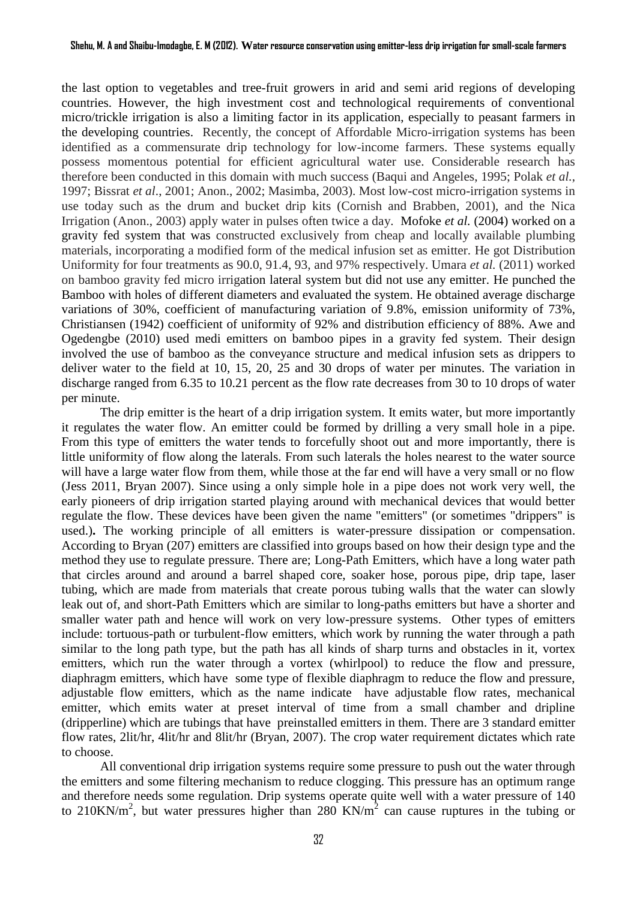the last option to vegetables and tree-fruit growers in arid and semi arid regions of developing countries. However, the high investment cost and technological requirements of conventional micro/trickle irrigation is also a limiting factor in its application, especially to peasant farmers in the developing countries. Recently, the concept of Affordable Micro-irrigation systems has been identified as a commensurate drip technology for low-income farmers. These systems equally possess momentous potential for efficient agricultural water use. Considerable research has therefore been conducted in this domain with much success (Baqui and Angeles, 1995; Polak *et al.*, 1997; Bissrat *et al*., 2001; Anon., 2002; Masimba, 2003). Most low-cost micro-irrigation systems in use today such as the drum and bucket drip kits (Cornish and Brabben, 2001), and the Nica Irrigation (Anon., 2003) apply water in pulses often twice a day. Mofoke *et al.* (2004) worked on a gravity fed system that was constructed exclusively from cheap and locally available plumbing materials, incorporating a modified form of the medical infusion set as emitter. He got Distribution Uniformity for four treatments as 90.0, 91.4, 93, and 97% respectively. Umara *et al.* (2011) worked on bamboo gravity fed micro irrigation lateral system but did not use any emitter. He punched the Bamboo with holes of different diameters and evaluated the system. He obtained average discharge variations of 30%, coefficient of manufacturing variation of 9.8%, emission uniformity of 73%, Christiansen (1942) coefficient of uniformity of 92% and distribution efficiency of 88%. Awe and Ogedengbe (2010) used medi emitters on bamboo pipes in a gravity fed system. Their design involved the use of bamboo as the conveyance structure and medical infusion sets as drippers to deliver water to the field at 10, 15, 20, 25 and 30 drops of water per minutes. The variation in discharge ranged from 6.35 to 10.21 percent as the flow rate decreases from 30 to 10 drops of water per minute.

The drip emitter is the heart of a drip irrigation system. It emits water, but more importantly it regulates the water flow. An emitter could be formed by drilling a very small hole in a pipe. From this type of emitters the water tends to forcefully shoot out and more importantly, there is little uniformity of flow along the laterals. From such laterals the holes nearest to the water source will have a large water flow from them, while those at the far end will have a very small or no flow (Jess 2011, Bryan 2007). Since using a only simple hole in a pipe does not work very well, the early pioneers of drip irrigation started playing around with mechanical devices that would better regulate the flow. These devices have been given the name "emitters" (or sometimes "drippers" is used.)**.** The working principle of all emitters is water-pressure dissipation or compensation. According to Bryan (207) emitters are classified into groups based on how their design type and the method they use to regulate pressure. There are; Long-Path Emitters, which have a long water path that circles around and around a barrel shaped core, soaker hose, porous pipe, drip tape, laser tubing, which are made from materials that create porous tubing walls that the water can slowly leak out of, and short-Path Emitters which are similar to long-paths emitters but have a shorter and smaller water path and hence will work on very low-pressure systems. Other types of emitters include: tortuous-path or turbulent-flow emitters, which work by running the water through a path similar to the long path type, but the path has all kinds of sharp turns and obstacles in it, vortex emitters, which run the water through a vortex (whirlpool) to reduce the flow and pressure, diaphragm emitters, which have some type of flexible diaphragm to reduce the flow and pressure, adjustable flow emitters, which as the name indicate have adjustable flow rates, mechanical emitter, which emits water at preset interval of time from a small chamber and dripline (dripperline) which are tubings that have preinstalled emitters in them. There are 3 standard emitter flow rates, 2lit/hr, 4lit/hr and 8lit/hr (Bryan, 2007). The crop water requirement dictates which rate to choose.

All conventional drip irrigation systems require some pressure to push out the water through the emitters and some filtering mechanism to reduce clogging. This pressure has an optimum range and therefore needs some regulation. Drip systems operate quite well with a water pressure of 140 to 210KN/m<sup>2</sup>, but water pressures higher than 280 KN/m<sup>2</sup> can cause ruptures in the tubing or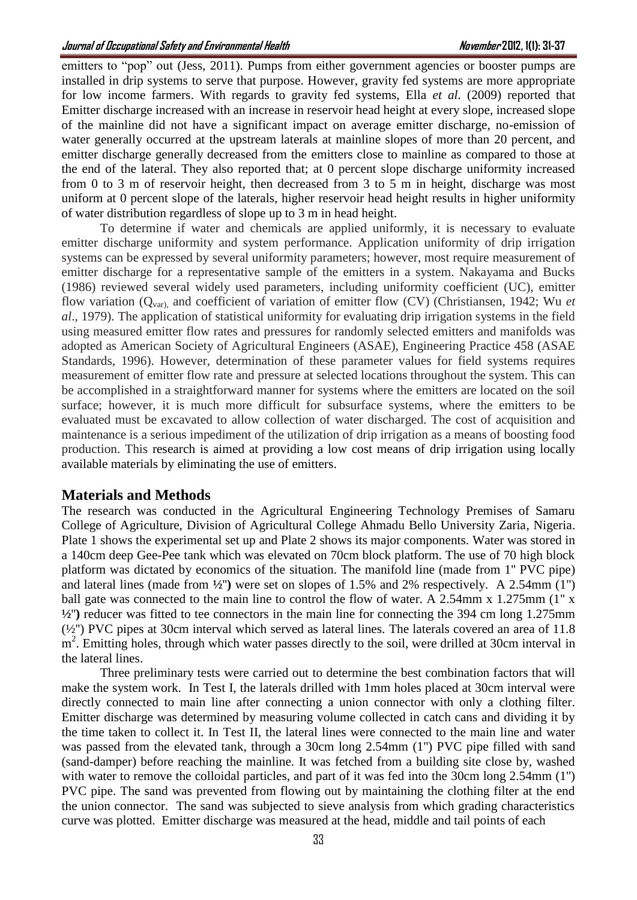emitters to "pop" out (Jess, 2011). Pumps from either government agencies or booster pumps are installed in drip systems to serve that purpose. However, gravity fed systems are more appropriate for low income farmers. With regards to gravity fed systems, Ella *et al.* (2009) reported that Emitter discharge increased with an increase in reservoir head height at every slope, increased slope of the mainline did not have a significant impact on average emitter discharge, no-emission of water generally occurred at the upstream laterals at mainline slopes of more than 20 percent, and emitter discharge generally decreased from the emitters close to mainline as compared to those at the end of the lateral. They also reported that; at 0 percent slope discharge uniformity increased from 0 to 3 m of reservoir height, then decreased from 3 to 5 m in height, discharge was most uniform at 0 percent slope of the laterals, higher reservoir head height results in higher uniformity of water distribution regardless of slope up to 3 m in head height.

To determine if water and chemicals are applied uniformly, it is necessary to evaluate emitter discharge uniformity and system performance. Application uniformity of drip irrigation systems can be expressed by several uniformity parameters; however, most require measurement of emitter discharge for a representative sample of the emitters in a system. Nakayama and Bucks (1986) reviewed several widely used parameters, including uniformity coefficient (UC), emitter flow variation (Qvar), and coefficient of variation of emitter flow (CV) (Christiansen, 1942; Wu *et al*., 1979). The application of statistical uniformity for evaluating drip irrigation systems in the field using measured emitter flow rates and pressures for randomly selected emitters and manifolds was adopted as American Society of Agricultural Engineers (ASAE), Engineering Practice 458 (ASAE Standards, 1996). However, determination of these parameter values for field systems requires measurement of emitter flow rate and pressure at selected locations throughout the system. This can be accomplished in a straightforward manner for systems where the emitters are located on the soil surface; however, it is much more difficult for subsurface systems, where the emitters to be evaluated must be excavated to allow collection of water discharged. The cost of acquisition and maintenance is a serious impediment of the utilization of drip irrigation as a means of boosting food production. This research is aimed at providing a low cost means of drip irrigation using locally available materials by eliminating the use of emitters.

#### **Materials and Methods**

The research was conducted in the Agricultural Engineering Technology Premises of Samaru College of Agriculture, Division of Agricultural College Ahmadu Bello University Zaria, Nigeria. Plate 1 shows the experimental set up and Plate 2 shows its major components. Water was stored in a 140cm deep Gee-Pee tank which was elevated on 70cm block platform. The use of 70 high block platform was dictated by economics of the situation. The manifold line (made from 1'' PVC pipe) and lateral lines (made from **½**''**)** were set on slopes of 1.5% and 2% respectively. A 2.54mm (1'') ball gate was connected to the main line to control the flow of water. A 2.54mm x 1.275mm (1" x **½**''**)** reducer was fitted to tee connectors in the main line for connecting the 394 cm long 1.275mm  $(\frac{1}{2})^{\prime}$  PVC pipes at 30cm interval which served as lateral lines. The laterals covered an area of 11.8 m<sup>2</sup>. Emitting holes, through which water passes directly to the soil, were drilled at 30cm interval in the lateral lines.

Three preliminary tests were carried out to determine the best combination factors that will make the system work. In Test I, the laterals drilled with 1mm holes placed at 30cm interval were directly connected to main line after connecting a union connector with only a clothing filter. Emitter discharge was determined by measuring volume collected in catch cans and dividing it by the time taken to collect it. In Test II, the lateral lines were connected to the main line and water was passed from the elevated tank, through a 30cm long 2.54mm (1") PVC pipe filled with sand (sand-damper) before reaching the mainline. It was fetched from a building site close by, washed with water to remove the colloidal particles, and part of it was fed into the 30cm long 2.54mm (1") PVC pipe. The sand was prevented from flowing out by maintaining the clothing filter at the end the union connector. The sand was subjected to sieve analysis from which grading characteristics curve was plotted. Emitter discharge was measured at the head, middle and tail points of each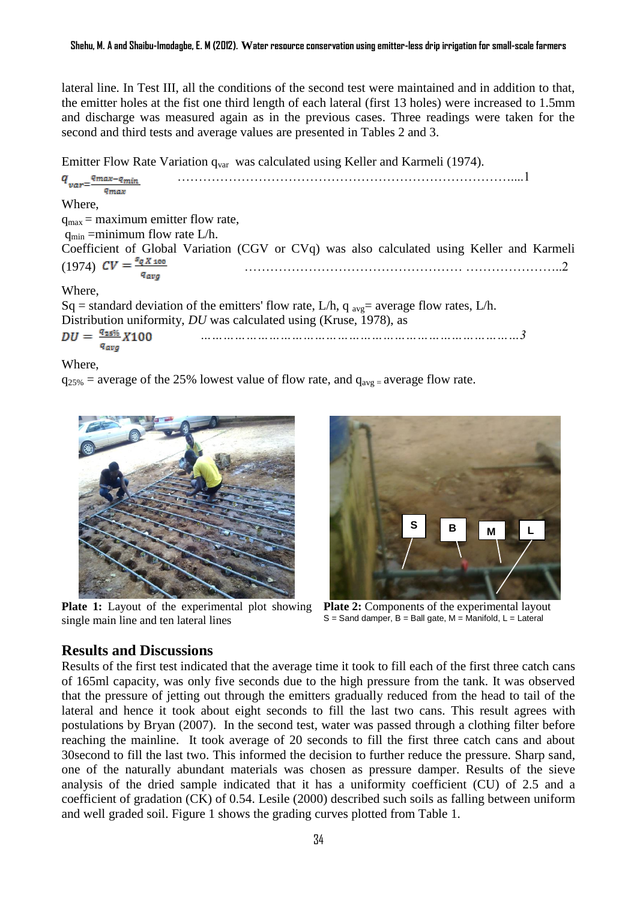lateral line. In Test III, all the conditions of the second test were maintained and in addition to that, the emitter holes at the fist one third length of each lateral (first 13 holes) were increased to 1.5mm and discharge was measured again as in the previous cases. Three readings were taken for the second and third tests and average values are presented in Tables 2 and 3.

Emitter Flow Rate Variation  $q_{var}$  was calculated using Keller and Karmeli (1974).

……………………………………………………………………....1  $q_{var}$ <sup>q</sup>max-q<sub>min</sub> *amax* Where,  $q_{\text{max}}$  = maximum emitter flow rate,  $q_{\min}$  =minimum flow rate L/h. Coefficient of Global Variation (CGV or CVq) was also calculated using Keller and Karmeli (1974) …………………………………………… …………………..2 Where, Sq = standard deviation of the emitters' flow rate, L/h, q  $_{\text{avg}}$  = average flow rates, L/h. Distribution uniformity, *DU* was calculated using (Kruse, 1978), as  $DU = \frac{q_{25\%}}{x_{100}}$ *…………………………………………………………………………3 a*<sub>ava</sub>

Where,

 $q_{25\%}$  = average of the 25% lowest value of flow rate, and  $q_{avg}$  = average flow rate.



**Plate 1:** Layout of the experimental plot showing **Plate 2:** Components of the experimental layout single main line and ten lateral lines



 $S =$  Sand damper,  $B =$  Ball gate,  $M =$  Manifold,  $L =$  Lateral

# **Results and Discussions**

Results of the first test indicated that the average time it took to fill each of the first three catch cans of 165ml capacity, was only five seconds due to the high pressure from the tank. It was observed that the pressure of jetting out through the emitters gradually reduced from the head to tail of the lateral and hence it took about eight seconds to fill the last two cans. This result agrees with postulations by Bryan (2007). In the second test, water was passed through a clothing filter before reaching the mainline. It took average of 20 seconds to fill the first three catch cans and about 30second to fill the last two. This informed the decision to further reduce the pressure. Sharp sand, one of the naturally abundant materials was chosen as pressure damper. Results of the sieve analysis of the dried sample indicated that it has a uniformity coefficient (CU) of 2.5 and a coefficient of gradation (CK) of 0.54. Lesile (2000) described such soils as falling between uniform and well graded soil. Figure 1 shows the grading curves plotted from Table 1.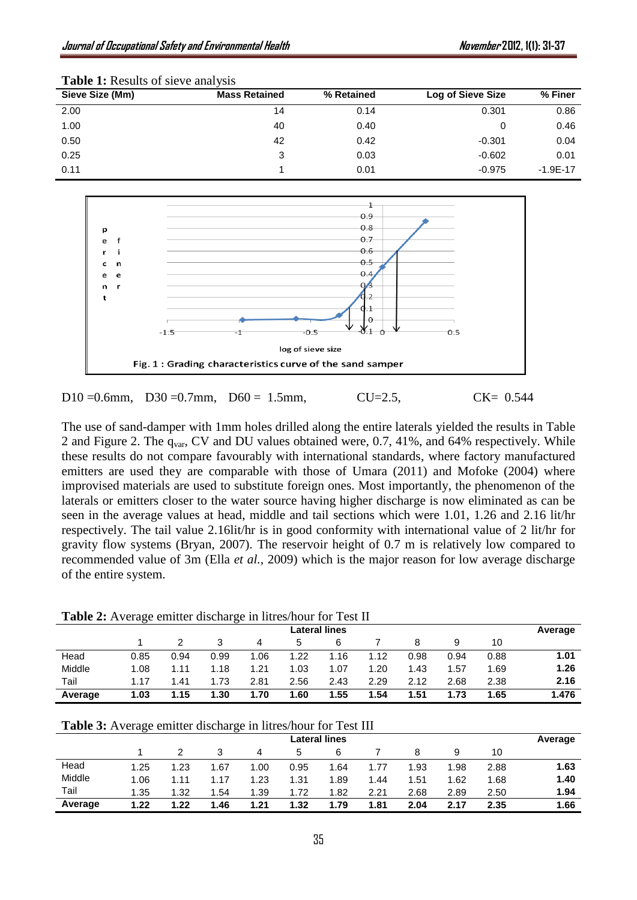| <b>THOIC</b> IT INCOUNTS OF SICTURISHED |                      |            |                          |              |  |  |  |  |  |  |
|-----------------------------------------|----------------------|------------|--------------------------|--------------|--|--|--|--|--|--|
| Sieve Size (Mm)                         | <b>Mass Retained</b> | % Retained | <b>Log of Sieve Size</b> | % Finer      |  |  |  |  |  |  |
| 2.00                                    | 14                   | 0.14       | 0.301                    | 0.86         |  |  |  |  |  |  |
| 1.00                                    | 40                   | 0.40       |                          | 0.46         |  |  |  |  |  |  |
| 0.50                                    | 42                   | 0.42       | $-0.301$                 | 0.04         |  |  |  |  |  |  |
| 0.25                                    | 3                    | 0.03       | $-0.602$                 | 0.01         |  |  |  |  |  |  |
| 0.11                                    |                      | 0.01       | $-0.975$                 | $-1.9E - 17$ |  |  |  |  |  |  |
|                                         |                      |            |                          |              |  |  |  |  |  |  |

**Table 1:** Results of sieve analysis



D10 = 0.6mm, D30 = 0.7mm, D60 = 1.5mm, CU=2.5, CK= 0.544

The use of sand-damper with 1mm holes drilled along the entire laterals yielded the results in Table 2 and Figure 2. The q<sub>var</sub>, CV and DU values obtained were, 0.7, 41%, and 64% respectively. While these results do not compare favourably with international standards, where factory manufactured emitters are used they are comparable with those of Umara (2011) and Mofoke (2004) where improvised materials are used to substitute foreign ones. Most importantly, the phenomenon of the laterals or emitters closer to the water source having higher discharge is now eliminated as can be seen in the average values at head, middle and tail sections which were 1.01, 1.26 and 2.16 lit/hr respectively. The tail value 2.16lit/hr is in good conformity with international value of 2 lit/hr for gravity flow systems (Bryan, 2007). The reservoir height of 0.7 m is relatively low compared to recommended value of 3m (Ella *et al.,* 2009) which is the major reason for low average discharge of the entire system.

| Table 2: Average emitter discharge in litres/hour for Test II |
|---------------------------------------------------------------|
|---------------------------------------------------------------|

| <b>TWORK SETTIVELY, CHILLEY GENERALLY THE CONTROL TOT TURN II</b> |      |      |      |      |      |      |      |      |         |      |       |
|-------------------------------------------------------------------|------|------|------|------|------|------|------|------|---------|------|-------|
| Lateral lines                                                     |      |      |      |      |      |      |      |      | Average |      |       |
|                                                                   |      |      |      | 4    | 5    | 6    |      |      |         | 10   |       |
| Head                                                              | 0.85 | 0.94 | 0.99 | 1.06 | 1.22 | .16  | 1.12 | 0.98 | 0.94    | 0.88 | 1.01  |
| Middle                                                            | 1.08 | 1.11 | 1.18 | 1.21 | 1.03 | 1.07 | 1.20 | 1.43 | 1.57    | 1.69 | 1.26  |
| Tail                                                              | 1.17 | 1.41 | 1.73 | 2.81 | 2.56 | 2.43 | 2.29 | 2.12 | 2.68    | 2.38 | 2.16  |
| Average                                                           | 1.03 | 1.15 | 1.30 | 1.70 | 1.60 | 1.55 | 1.54 | 51.، | 1.73    | 1.65 | 1.476 |

| Table 3: Average emitter discharge in litres/hour for Test III |  |  |  |  |  |  |  |
|----------------------------------------------------------------|--|--|--|--|--|--|--|
|----------------------------------------------------------------|--|--|--|--|--|--|--|

|         | <b>Lateral lines</b> |      |      |      |      |      |      |      |      | Average |      |
|---------|----------------------|------|------|------|------|------|------|------|------|---------|------|
|         |                      |      |      | 4    | 5    | 6    |      | 8    | 9    | 10      |      |
| Head    | 1.25                 | 1.23 | 1.67 | 1.00 | 0.95 | 1.64 | 1.77 | 1.93 | 1.98 | 2.88    | 1.63 |
| Middle  | 1.06                 | 1.11 | 1.17 | 1.23 | 1.31 | 1.89 | 1.44 | 1.51 | 1.62 | 1.68    | 1.40 |
| Tail    | 1.35                 | 1.32 | 1.54 | 1.39 | 1.72 | 1.82 | 2.21 | 2.68 | 2.89 | 2.50    | 1.94 |
| Average | 1.22                 | 1.22 | 1.46 | 1.21 | 1.32 | 79.، | 1.81 | 2.04 | 2.17 | 2.35    | 1.66 |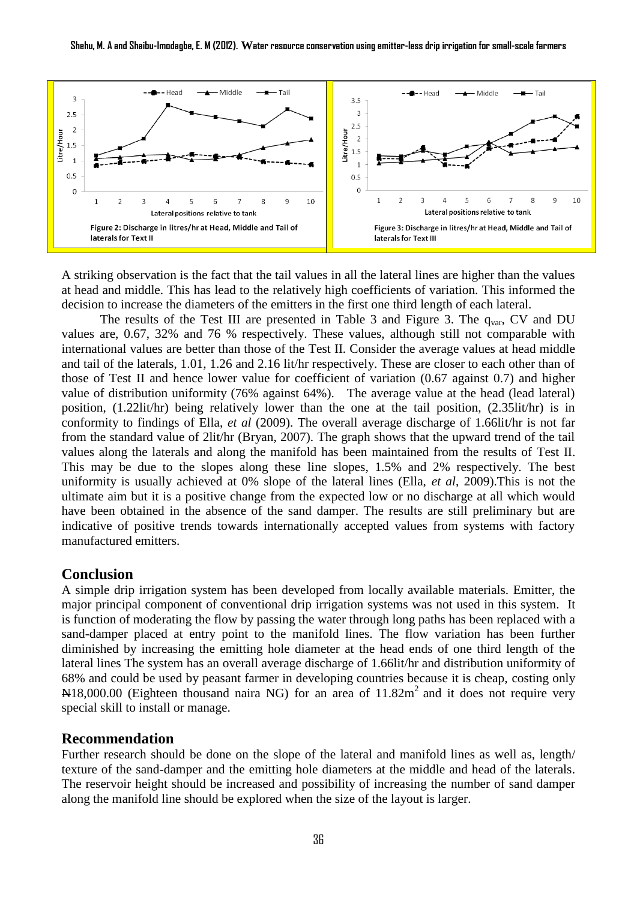

A striking observation is the fact that the tail values in all the lateral lines are higher than the values at head and middle. This has lead to the relatively high coefficients of variation. This informed the decision to increase the diameters of the emitters in the first one third length of each lateral.

The results of the Test III are presented in Table 3 and Figure 3. The  $q_{var}$ , CV and DU values are, 0.67, 32% and 76 % respectively. These values, although still not comparable with international values are better than those of the Test II. Consider the average values at head middle and tail of the laterals, 1.01, 1.26 and 2.16 lit/hr respectively. These are closer to each other than of those of Test II and hence lower value for coefficient of variation (0.67 against 0.7) and higher value of distribution uniformity (76% against 64%). The average value at the head (lead lateral) position, (1.22lit/hr) being relatively lower than the one at the tail position, (2.35lit/hr) is in conformity to findings of Ella, *et al* (2009). The overall average discharge of 1.66lit/hr is not far from the standard value of 2lit/hr (Bryan, 2007). The graph shows that the upward trend of the tail values along the laterals and along the manifold has been maintained from the results of Test II. This may be due to the slopes along these line slopes, 1.5% and 2% respectively. The best uniformity is usually achieved at 0% slope of the lateral lines (Ella, *et al*, 2009).This is not the ultimate aim but it is a positive change from the expected low or no discharge at all which would have been obtained in the absence of the sand damper. The results are still preliminary but are indicative of positive trends towards internationally accepted values from systems with factory manufactured emitters.

#### **Conclusion**

A simple drip irrigation system has been developed from locally available materials. Emitter, the major principal component of conventional drip irrigation systems was not used in this system. It is function of moderating the flow by passing the water through long paths has been replaced with a sand-damper placed at entry point to the manifold lines. The flow variation has been further diminished by increasing the emitting hole diameter at the head ends of one third length of the lateral lines The system has an overall average discharge of 1.66lit/hr and distribution uniformity of 68% and could be used by peasant farmer in developing countries because it is cheap, costing only  $N18,000.00$  (Eighteen thousand naira NG) for an area of  $11.82\text{m}^2$  and it does not require very special skill to install or manage.

# **Recommendation**

Further research should be done on the slope of the lateral and manifold lines as well as, length/ texture of the sand-damper and the emitting hole diameters at the middle and head of the laterals. The reservoir height should be increased and possibility of increasing the number of sand damper along the manifold line should be explored when the size of the layout is larger.